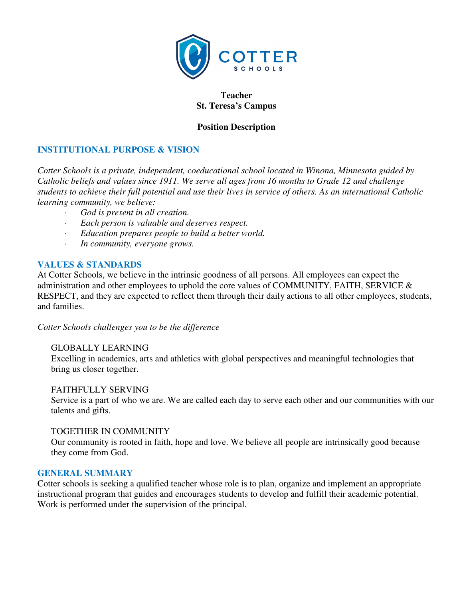

### **Teacher St. Teresa's Campus**

## **Position Description**

# **INSTITUTIONAL PURPOSE & VISION**

*Cotter Schools is a private, independent, coeducational school located in Winona, Minnesota guided by Catholic beliefs and values since 1911. We serve all ages from 16 months to Grade 12 and challenge students to achieve their full potential and use their lives in service of others. As an international Catholic learning community, we believe:* 

- *· God is present in all creation.*
- *· Each person is valuable and deserves respect.*
- *· Education prepares people to build a better world.*
- *· In community, everyone grows.*

### **VALUES & STANDARDS**

At Cotter Schools, we believe in the intrinsic goodness of all persons. All employees can expect the administration and other employees to uphold the core values of COMMUNITY, FAITH, SERVICE & RESPECT, and they are expected to reflect them through their daily actions to all other employees, students, and families.

*Cotter Schools challenges you to be the difference* 

### GLOBALLY LEARNING

Excelling in academics, arts and athletics with global perspectives and meaningful technologies that bring us closer together.

### FAITHFULLY SERVING

Service is a part of who we are. We are called each day to serve each other and our communities with our talents and gifts.

### TOGETHER IN COMMUNITY

Our community is rooted in faith, hope and love. We believe all people are intrinsically good because they come from God.

#### **GENERAL SUMMARY**

Cotter schools is seeking a qualified teacher whose role is to plan, organize and implement an appropriate instructional program that guides and encourages students to develop and fulfill their academic potential. Work is performed under the supervision of the principal.